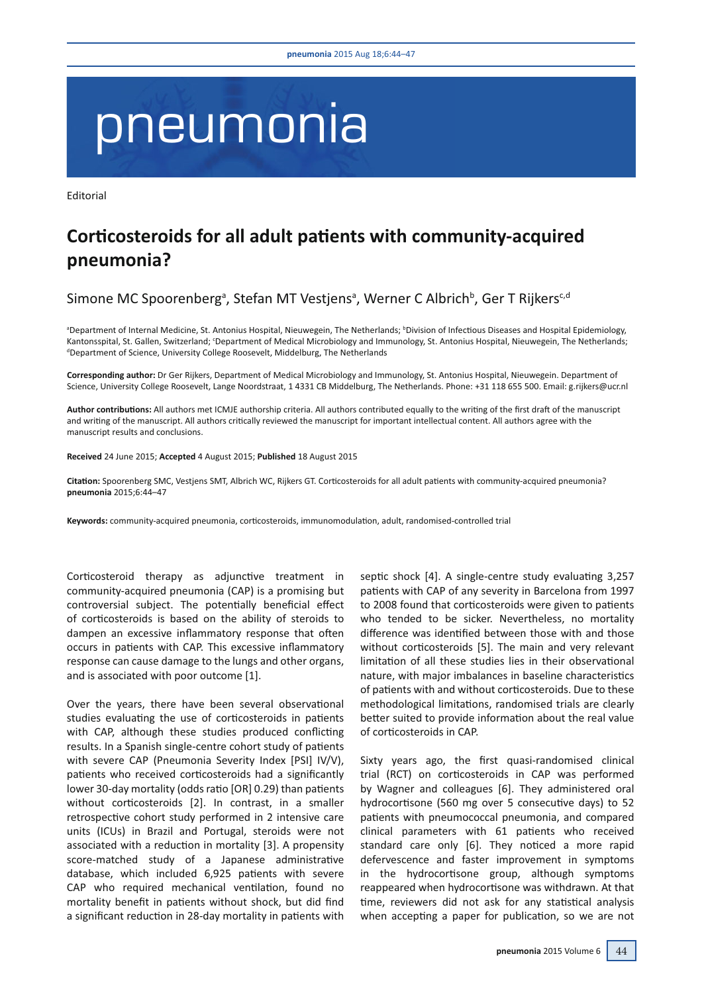## pneumonia

Editorial

## Corticosteroids for all adult patients with community-acquired pneumonia?

Simone MC Spoorenberg<sup>a</sup>, Stefan MT Vestjens<sup>a</sup>, Werner C Albrich<sup>b</sup>, Ger T Rijkers<sup>c,d</sup>

<sup>a</sup>Department of Internal Medicine, St. Antonius Hospital, Nieuwegein, The Netherlands; <sup>b</sup>Division of Infectious Diseases and Hospital Epidemiology, Kantonsspital, St. Gallen, Switzerland; <sup>c</sup>Department of Medical Microbiology and Immunology, St. Antonius Hospital, Nieuwegein, The Netherlands; <sup>d</sup>Department of Science, University College Roosevelt, Middelburg, The Netherlands

Corresponding author: Dr Ger Rijkers, Department of Medical Microbiology and Immunology, St. Antonius Hospital, Nieuwegein. Department of Science, University College Roosevelt, Lange Noordstraat, 1 4331 CB Middelburg, The Netherlands. Phone: +31 118 655 500. Email: g.rijkers@ucr.nl

Author contributions: All authors met ICMJE authorship criteria. All authors contributed equally to the writing of the first draft of the manuscript and writing of the manuscript. All authors critically reviewed the manuscript for important intellectual content. All authors agree with the manuscript results and conclusions.

Received 24 June 2015; Accepted 4 August 2015; Published 18 August 2015

Citation: Spoorenberg SMC, Vestjens SMT, Albrich WC, Rijkers GT. Corticosteroids for all adult patients with community-acquired pneumonia? pneumonia 2015;6:44-47

Keywords: community-acquired pneumonia, corticosteroids, immunomodulation, adult, randomised-controlled trial

Corticosteroid therapy as adjunctive treatment in community-acquired pneumonia (CAP) is a promising but controversial subject. The potentially beneficial effect of corticosteroids is based on the ability of steroids to dampen an excessive inflammatory response that often occurs in patients with CAP. This excessive inflammatory response can cause damage to the lungs and other organs, and is associated with poor outcome [1].

Over the years, there have been several observational studies evaluating the use of corticosteroids in patients with CAP, although these studies produced conflicting results. In a Spanish single-centre cohort study of patients with severe CAP (Pneumonia Severity Index [PSI] IV/V), patients who received corticosteroids had a significantly lower 30-day mortality (odds ratio [OR] 0.29) than patients without corticosteroids [2]. In contrast, in a smaller retrospective cohort study performed in 2 intensive care units (ICUs) in Brazil and Portugal, steroids were not associated with a reduction in mortality [3]. A propensity score-matched study of a Japanese administrative database, which included 6.925 patients with severe CAP who required mechanical ventilation, found no mortality benefit in patients without shock, but did find a significant reduction in 28-day mortality in patients with septic shock [4]. A single-centre study evaluating 3.257 patients with CAP of any severity in Barcelona from 1997 to 2008 found that corticosteroids were given to patients who tended to be sicker. Nevertheless, no mortality difference was identified between those with and those without corticosteroids [5]. The main and very relevant limitation of all these studies lies in their observational nature, with major imbalances in baseline characteristics of patients with and without corticosteroids. Due to these methodological limitations, randomised trials are clearly better suited to provide information about the real value of corticosteroids in CAP.

Sixty years ago, the first quasi-randomised clinical trial (RCT) on corticosteroids in CAP was performed by Wagner and colleagues [6]. They administered oral hydrocortisone (560 mg over 5 consecutive days) to 52 patients with pneumococcal pneumonia, and compared clinical parameters with 61 patients who received standard care only [6]. They noticed a more rapid defervescence and faster improvement in symptoms in the hydrocortisone group, although symptoms reappeared when hydrocortisone was withdrawn. At that time, reviewers did not ask for any statistical analysis when accepting a paper for publication, so we are not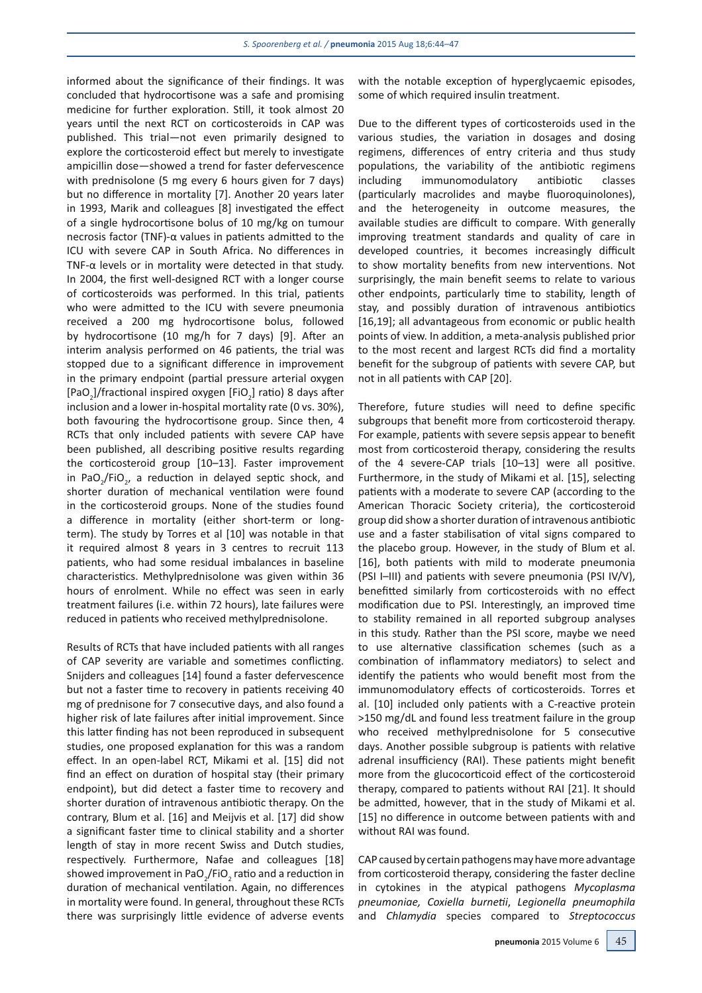informed about the significance of their findings. It was concluded that hydrocortisone was a safe and promising medicine for further exploration. Still, it took almost 20 years until the next RCT on corticosteroids in CAP was published. This trial-not even primarily designed to explore the corticosteroid effect but merely to investigate ampicillin dose-showed a trend for faster defervescence with prednisolone (5 mg every 6 hours given for 7 days) but no difference in mortality [7]. Another 20 years later in 1993, Marik and colleagues [8] investigated the effect of a single hydrocortisone bolus of 10 mg/kg on tumour necrosis factor (TNF)- $\alpha$  values in patients admitted to the ICU with severe CAP in South Africa. No differences in TNF- $\alpha$  levels or in mortality were detected in that study. In 2004, the first well-designed RCT with a longer course of corticosteroids was performed. In this trial, patients who were admitted to the ICU with severe pneumonia received a 200 mg hydrocortisone bolus, followed by hydrocortisone (10 mg/h for 7 days) [9]. After an interim analysis performed on 46 patients, the trial was stopped due to a significant difference in improvement in the primary endpoint (partial pressure arterial oxygen [PaO<sub>2</sub>]/fractional inspired oxygen [FiO<sub>2</sub>] ratio) 8 days after inclusion and a lower in-hospital mortality rate (0 vs. 30%), both favouring the hydrocortisone group. Since then, 4 RCTs that only included patients with severe CAP have been published, all describing positive results regarding the corticosteroid group [10-13]. Faster improvement in PaO<sub>2</sub>/FiO<sub>2</sub>, a reduction in delayed septic shock, and shorter duration of mechanical ventilation were found in the corticosteroid groups. None of the studies found a difference in mortality (either short-term or longterm). The study by Torres et al [10] was notable in that it required almost 8 years in 3 centres to recruit 113 patients, who had some residual imbalances in baseline characteristics. Methylprednisolone was given within 36 hours of enrolment. While no effect was seen in early treatment failures (i.e. within 72 hours), late failures were reduced in patients who received methylprednisolone.

Results of RCTs that have included patients with all ranges of CAP severity are variable and sometimes conflicting. Snijders and colleagues [14] found a faster defervescence but not a faster time to recovery in patients receiving 40 mg of prednisone for 7 consecutive days, and also found a higher risk of late failures after initial improvement. Since this latter finding has not been reproduced in subsequent studies, one proposed explanation for this was a random effect. In an open-label RCT, Mikami et al. [15] did not find an effect on duration of hospital stay (their primary endpoint), but did detect a faster time to recovery and shorter duration of intravenous antibiotic therapy. On the contrary, Blum et al. [16] and Meijvis et al. [17] did show a significant faster time to clinical stability and a shorter length of stay in more recent Swiss and Dutch studies, respectively. Furthermore, Nafae and colleagues [18] showed improvement in PaO<sub>2</sub>/FiO<sub>2</sub> ratio and a reduction in duration of mechanical ventilation. Again, no differences in mortality were found. In general, throughout these RCTs there was surprisingly little evidence of adverse events

with the notable exception of hyperglycaemic episodes, some of which required insulin treatment.

Due to the different types of corticosteroids used in the various studies, the variation in dosages and dosing regimens, differences of entry criteria and thus study populations, the variability of the antibiotic regimens immunomodulatory antibiotic including classes (particularly macrolides and maybe fluoroquinolones), and the heterogeneity in outcome measures, the available studies are difficult to compare. With generally improving treatment standards and quality of care in developed countries, it becomes increasingly difficult to show mortality benefits from new interventions. Not surprisingly, the main benefit seems to relate to various other endpoints, particularly time to stability, length of stay, and possibly duration of intravenous antibiotics [16,19]; all advantageous from economic or public health points of view. In addition, a meta-analysis published prior to the most recent and largest RCTs did find a mortality benefit for the subgroup of patients with severe CAP, but not in all patients with CAP [20].

Therefore, future studies will need to define specific subgroups that benefit more from corticosteroid therapy. For example, patients with severe sepsis appear to benefit most from corticosteroid therapy, considering the results of the 4 severe-CAP trials [10-13] were all positive. Furthermore, in the study of Mikami et al. [15], selecting patients with a moderate to severe CAP (according to the American Thoracic Society criteria), the corticosteroid group did show a shorter duration of intravenous antibiotic use and a faster stabilisation of vital signs compared to the placebo group. However, in the study of Blum et al. [16], both patients with mild to moderate pneumonia (PSI I-III) and patients with severe pneumonia (PSI IV/V). benefitted similarly from corticosteroids with no effect modification due to PSI. Interestingly, an improved time to stability remained in all reported subgroup analyses in this study. Rather than the PSI score, maybe we need to use alternative classification schemes (such as a combination of inflammatory mediators) to select and identify the patients who would benefit most from the immunomodulatory effects of corticosteroids. Torres et al. [10] included only patients with a C-reactive protein >150 mg/dL and found less treatment failure in the group who received methylprednisolone for 5 consecutive days. Another possible subgroup is patients with relative adrenal insufficiency (RAI). These patients might benefit more from the glucocorticoid effect of the corticosteroid therapy, compared to patients without RAI [21]. It should be admitted, however, that in the study of Mikami et al. [15] no difference in outcome between patients with and without RAI was found.

CAP caused by certain pathogens may have more advantage from corticosteroid therapy, considering the faster decline in cytokines in the atypical pathogens Mycoplasma pneumoniae, Coxiella burnetii, Legionella pneumophila and Chlamydia species compared to Streptococcus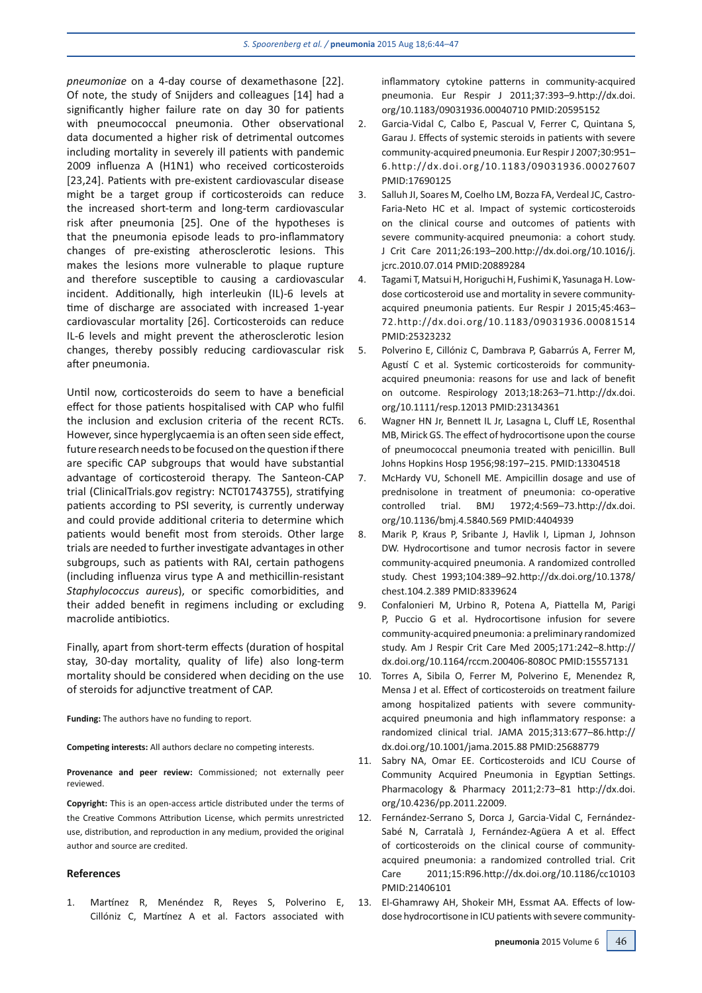pneumoniae on a 4-day course of dexamethasone [22]. Of note, the study of Snijders and colleagues [14] had a significantly higher failure rate on day 30 for patients with pneumococcal pneumonia. Other observational data documented a higher risk of detrimental outcomes including mortality in severely ill patients with pandemic 2009 influenza A (H1N1) who received corticosteroids [23,24]. Patients with pre-existent cardiovascular disease might be a target group if corticosteroids can reduce the increased short-term and long-term cardiovascular risk after pneumonia [25]. One of the hypotheses is that the pneumonia episode leads to pro-inflammatory changes of pre-existing atherosclerotic lesions. This makes the lesions more vulnerable to plaque rupture and therefore susceptible to causing a cardiovascular incident. Additionally, high interleukin (IL)-6 levels at time of discharge are associated with increased 1-year cardiovascular mortality [26]. Corticosteroids can reduce IL-6 levels and might prevent the atherosclerotic lesion changes, thereby possibly reducing cardiovascular risk after pneumonia.

Until now, corticosteroids do seem to have a beneficial effect for those patients hospitalised with CAP who fulfil the inclusion and exclusion criteria of the recent RCTs. However, since hyperglycaemia is an often seen side effect, future research needs to be focused on the question if there are specific CAP subgroups that would have substantial advantage of corticosteroid therapy. The Santeon-CAP trial (ClinicalTrials.gov registry: NCT01743755), stratifying patients according to PSI severity, is currently underway and could provide additional criteria to determine which patients would benefit most from steroids. Other large trials are needed to further investigate advantages in other subgroups, such as patients with RAI, certain pathogens (including influenza virus type A and methicillin-resistant Staphylococcus aureus), or specific comorbidities, and their added benefit in regimens including or excluding macrolide antibiotics.

Finally, apart from short-term effects (duration of hospital stay, 30-day mortality, quality of life) also long-term mortality should be considered when deciding on the use of steroids for adjunctive treatment of CAP.

**Funding:** The authors have no funding to report.

Competing interests: All authors declare no competing interests.

Provenance and peer review: Commissioned; not externally peer reviewed.

Copyright: This is an open-access article distributed under the terms of the Creative Commons Attribution License, which permits unrestricted use, distribution, and reproduction in any medium, provided the original author and source are credited.

## **References**

 $\mathbf{1}$ Martínez R, Menéndez R, Reyes S, Polverino E, Cillóniz C, Martínez A et al. Factors associated with inflammatory cytokine patterns in community-acquired pneumonia. Eur Respir J 2011;37:393-9.http://dx.doi. org/10.1183/09031936.00040710 PMID:20595152

- Garcia-Vidal C, Calbo E, Pascual V, Ferrer C, Quintana S,  $2.$ Garau J. Effects of systemic steroids in patients with severe community-acquired pneumonia. Eur Respir J 2007;30:951-6.http://dx.doi.org/10.1183/09031936.00027607 PMID:17690125
- Salluh JI, Soares M, Coelho LM, Bozza FA, Verdeal JC, Castro- $3.$ Faria-Neto HC et al. Impact of systemic corticosteroids on the clinical course and outcomes of patients with severe community-acquired pneumonia: a cohort study. J Crit Care 2011;26:193-200.http://dx.doi.org/10.1016/j. jcrc.2010.07.014 PMID:20889284
- Tagami T, Matsui H, Horiguchi H, Fushimi K, Yasunaga H. Low- $\overline{4}$ . dose corticosteroid use and mortality in severe communityacquired pneumonia patients. Eur Respir J 2015;45:463-72.http://dx.doi.org/10.1183/09031936.00081514 PMID:25323232
- Polverino E, Cillóniz C, Dambrava P, Gabarrús A, Ferrer M,  $5.$ Agustí C et al. Systemic corticosteroids for communityacquired pneumonia: reasons for use and lack of benefit on outcome. Respirology 2013;18:263-71.http://dx.doi. org/10.1111/resp.12013 PMID:23134361
- Wagner HN Jr, Bennett IL Jr, Lasagna L, Cluff LE, Rosenthal 6. MB, Mirick GS. The effect of hydrocortisone upon the course of pneumococcal pneumonia treated with penicillin. Bull Johns Hopkins Hosp 1956:98:197-215, PMID:13304518
- McHardy VU, Schonell ME. Ampicillin dosage and use of  $7<sub>1</sub>$ prednisolone in treatment of pneumonia: co-operative 1972;4:569-73.http://dx.doi. controlled trial. **BMJ** org/10.1136/bmj.4.5840.569 PMID:4404939
- Marik P, Kraus P, Sribante J, Havlik I, Lipman J, Johnson 8. DW. Hydrocortisone and tumor necrosis factor in severe community-acquired pneumonia. A randomized controlled study. Chest 1993;104:389-92.http://dx.doi.org/10.1378/ chest.104.2.389 PMID:8339624
- Confalonieri M, Urbino R, Potena A, Piattella M, Parigi 9. P, Puccio G et al. Hydrocortisone infusion for severe community-acquired pneumonia: a preliminary randomized study. Am J Respir Crit Care Med 2005;171:242-8.http:// dx.doi.org/10.1164/rccm.200406-808OC PMID:15557131
- $10<sub>1</sub>$ Torres A, Sibila O, Ferrer M, Polverino E, Menendez R, Mensa J et al. Effect of corticosteroids on treatment failure among hospitalized patients with severe communityacquired pneumonia and high inflammatory response: a randomized clinical trial. JAMA 2015:313:677-86.http:// dx.doi.org/10.1001/jama.2015.88 PMID:25688779
- Sabry NA, Omar EE. Corticosteroids and ICU Course of  $11.$ Community Acquired Pneumonia in Egyptian Settings. Pharmacology & Pharmacy 2011;2:73-81 http://dx.doi. org/10.4236/pp.2011.22009.
- $12.$ Fernández-Serrano S, Dorca J, Garcia-Vidal C, Fernández-Sabé N, Carratalà J, Fernández-Agüera A et al. Effect of corticosteroids on the clinical course of communityacquired pneumonia: a randomized controlled trial. Crit Care 2011:15:R96.http://dx.doi.org/10.1186/cc10103 PMID:21406101
- $13.$ El-Ghamrawy AH, Shokeir MH, Essmat AA. Effects of lowdose hydrocortisone in ICU patients with severe community-